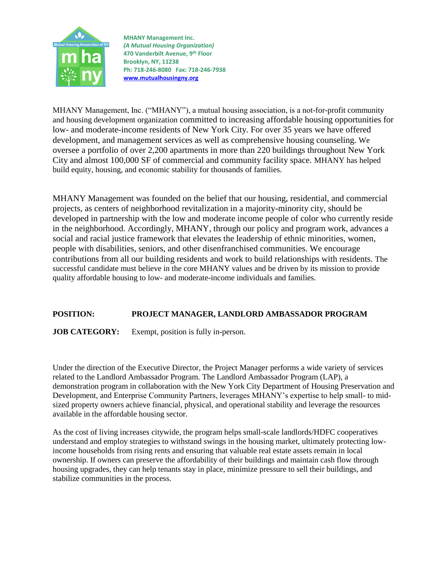

**MHANY Management Inc.** *(A Mutual Housing Organization)* **470 Vanderbilt Avenue, 9 th Floor Brooklyn, NY, 11238 Ph: 718-246-8080 Fax: 718-246-7938 [www.mutualhousingny.org](http://www.mutualhousingny.org/)**

MHANY Management, Inc. ("MHANY"), a mutual housing association, is a not-for-profit community and housing development organization committed to increasing affordable housing opportunities for low- and moderate-income residents of New York City. For over 35 years we have offered development, and management services as well as comprehensive housing counseling. We oversee a portfolio of over 2,200 apartments in more than 220 buildings throughout New York City and almost 100,000 SF of commercial and community facility space. MHANY has helped build equity, housing, and economic stability for thousands of families.

MHANY Management was founded on the belief that our housing, residential, and commercial projects, as centers of neighborhood revitalization in a majority-minority city, should be developed in partnership with the low and moderate income people of color who currently reside in the neighborhood. Accordingly, MHANY, through our policy and program work, advances a social and racial justice framework that elevates the leadership of ethnic minorities, women, people with disabilities, seniors, and other disenfranchised communities. We encourage contributions from all our building residents and work to build relationships with residents. The successful candidate must believe in the core MHANY values and be driven by its mission to provide quality affordable housing to low- and moderate-income individuals and families.

## **POSITION: PROJECT MANAGER, LANDLORD AMBASSADOR PROGRAM**

**JOB CATEGORY:** Exempt, position is fully in-person.

Under the direction of the Executive Director, the Project Manager performs a wide variety of services related to the Landlord Ambassador Program. The Landlord Ambassador Program (LAP), a demonstration program in collaboration with the New York City Department of Housing Preservation and Development, and Enterprise Community Partners, leverages MHANY's expertise to help small- to midsized property owners achieve financial, physical, and operational stability and leverage the resources available in the affordable housing sector.

As the cost of living increases citywide, the program helps small-scale landlords/HDFC cooperatives understand and employ strategies to withstand swings in the housing market, ultimately protecting lowincome households from rising rents and ensuring that valuable real estate assets remain in local ownership. If owners can preserve the affordability of their buildings and maintain cash flow through housing upgrades, they can help tenants stay in place, minimize pressure to sell their buildings, and stabilize communities in the process.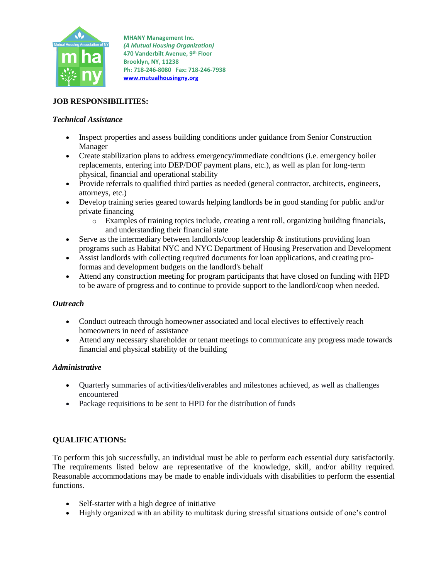

**MHANY Management Inc.** *(A Mutual Housing Organization)* **470 Vanderbilt Avenue, 9 th Floor Brooklyn, NY, 11238 Ph: 718-246-8080 Fax: 718-246-7938 [www.mutualhousingny.org](http://www.mutualhousingny.org/)**

# **JOB RESPONSIBILITIES:**

### *Technical Assistance*

- Inspect properties and assess building conditions under guidance from Senior Construction Manager
- Create stabilization plans to address emergency/immediate conditions (i.e. emergency boiler replacements, entering into DEP/DOF payment plans, etc.), as well as plan for long-term physical, financial and operational stability
- Provide referrals to qualified third parties as needed (general contractor, architects, engineers, attorneys, etc.)
- Develop training series geared towards helping landlords be in good standing for public and/or private financing
	- o Examples of training topics include, creating a rent roll, organizing building financials, and understanding their financial state
- Serve as the intermediary between landlords/coop leadership  $\&$  institutions providing loan programs such as Habitat NYC and NYC Department of Housing Preservation and Development
- Assist landlords with collecting required documents for loan applications, and creating proformas and development budgets on the landlord's behalf
- Attend any construction meeting for program participants that have closed on funding with HPD to be aware of progress and to continue to provide support to the landlord/coop when needed.

#### *Outreach*

- Conduct outreach through homeowner associated and local electives to effectively reach homeowners in need of assistance
- Attend any necessary shareholder or tenant meetings to communicate any progress made towards financial and physical stability of the building

#### *Administrative*

- Quarterly summaries of activities/deliverables and milestones achieved, as well as challenges encountered
- Package requisitions to be sent to HPD for the distribution of funds

## **QUALIFICATIONS:**

To perform this job successfully, an individual must be able to perform each essential duty satisfactorily. The requirements listed below are representative of the knowledge, skill, and/or ability required. Reasonable accommodations may be made to enable individuals with disabilities to perform the essential functions.

- Self-starter with a high degree of initiative
- Highly organized with an ability to multitask during stressful situations outside of one's control